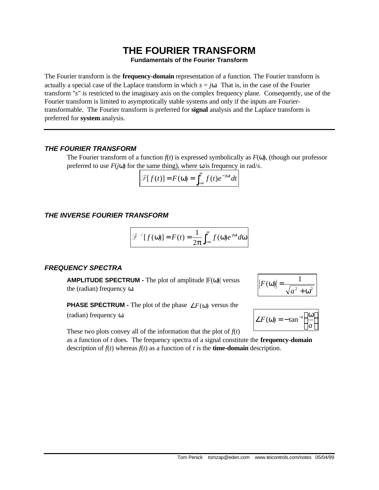# **THE FOURIER TRANSFORM**

**Fundamentals of the Fourier Transform**

The Fourier transform is the **frequency-domain** representation of a function. The Fourier transform is actually a special case of the Laplace transform in which  $s = j\omega$ . That is, in the case of the Fourier transform "*s*" is restricted to the imaginary axis on the complex frequency plane. Consequently, use of the Fourier transform is limited to asymptotically stable systems and only if the inputs are Fouriertransformable. The Fourier transform is preferred for **signal** analysis and the Laplace transform is preferred for **system** analysis.

### *THE FOURIER TRANSFORM*

The Fourier transform of a function  $f(t)$  is expressed symbolically as  $F(\omega)$ , (though our professor preferred to use  $F(j\omega)$  for the same thing), where  $\omega$  is frequency in rad/*s*.

$$
\mathcal{F}[f(t)] = F(\omega) = \int_{-\infty}^{\infty} f(t)e^{-j\omega t}dt
$$

## *THE INVERSE FOURIER TRANSFORM*

$$
\mathcal{F}^{-1}[f(\omega)] = F(t) = \frac{1}{2\pi} \int_{-\infty}^{\infty} f(\omega) e^{j\omega t} d\omega
$$

### *FREQUENCY SPECTRA*

**AMPLITUDE SPECTRUM -** The plot of amplitude |F(ω)| versus the (radian) frequency ω.



 $\angle F(\omega) = -\tan^{-1}$ 

in the contract of the contract of the contract of the contract of the contract of the contract of the contract of the contract of the contract of the contract of the contract of the contract of the contract of the contrac  $\overline{1}$  $\lambda$ I l ω

*a* 1

**PHASE SPECTRUM -** The plot of the phase  $\angle F(\omega)$  versus the

(radian) frequency ω.

These two plots convey all of the information that the plot of  $f(t)$ 

as a function of *t* does. The frequency spectra of a signal constitute the **frequency-domain** description of  $f(t)$  whereas  $f(t)$  as a function of *t* is the **time-domain** description.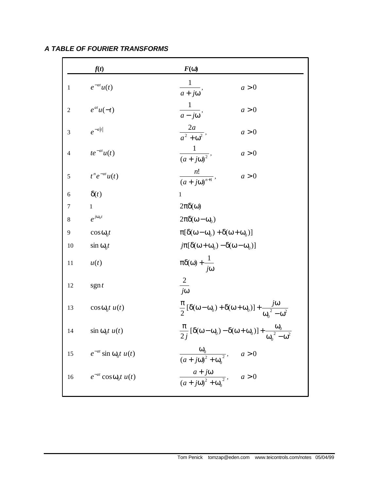|                  | f(t)                               | $F(\mathbf{w})$                                                                                                                                          |
|------------------|------------------------------------|----------------------------------------------------------------------------------------------------------------------------------------------------------|
| $\mathbf{1}$     | $e^{-at}u(t)$                      | $\frac{1}{a+j\omega}$ ,<br>a > 0                                                                                                                         |
| $\boldsymbol{2}$ | $e^{at}u(-t)$                      | $\frac{1}{a - j\omega},$<br>a > 0                                                                                                                        |
| 3                | $e^{-a t }$                        | $\frac{2a}{a^2+\omega^2},$<br>a > 0                                                                                                                      |
| $\overline{4}$   | $te^{-at}u(t)$                     | $\frac{1}{(a+j\omega)^2},$<br>a > 0                                                                                                                      |
| 5                | $t^n e^{-at} u(t)$                 | $\frac{n!}{(a+j\omega)^{n+1}},$<br>$a > 0$                                                                                                               |
| 6                | $\delta(t)$                        | 1                                                                                                                                                        |
| 7                | 1                                  | $2\pi\delta(\omega)$                                                                                                                                     |
| 8                | $e^{j\omega_0 t}$                  | $2\pi\delta(\omega-\omega_0)$                                                                                                                            |
| 9                | $\cos \omega_0 t$                  | $\pi[\delta(\omega-\omega_0)+\delta(\omega+\omega_0)]$                                                                                                   |
| 10               | $\sin \omega_0 t$                  | $j\pi[\delta(\omega+\omega_0)-\delta(\omega-\omega_0)]$                                                                                                  |
| 11               | u(t)                               | $\pi\delta(\omega) + \frac{1}{j\omega}$                                                                                                                  |
| 12               | sgn t                              | $\frac{2}{\sqrt{2}}$<br>$j\omega$                                                                                                                        |
| 13               | $\cos \omega_0 t u(t)$             | $\frac{\pi}{2} [\delta(\omega - \omega_0) + \delta(\omega + \omega_0)] + \frac{j\omega_0}{\omega_0^2 - \omega^2}$                                        |
| 14               | $\sin \omega_0 t u(t)$             | $\frac{\pi}{2i} \left[ \delta(\omega - \omega_0) - \delta(\omega + \omega_0) \right] + \frac{\omega_0}{2i^2}$<br>2 <sub>J</sub><br>$\omega_0$ – $\omega$ |
|                  | 15 $e^{-at}$ sin $\omega_0 t u(t)$ | $\frac{\omega_0}{(a + j\omega)^2 + {\omega_0}^2}$ , $a > 0$                                                                                              |
| 16               | $e^{-at}$ cos $\omega_0 t u(t)$    | $\frac{a + j\omega}{(a + j\omega)^2 + \omega_0^2}$ , $a > 0$                                                                                             |
|                  |                                    |                                                                                                                                                          |

*A TABLE OF FOURIER TRANSFORMS*